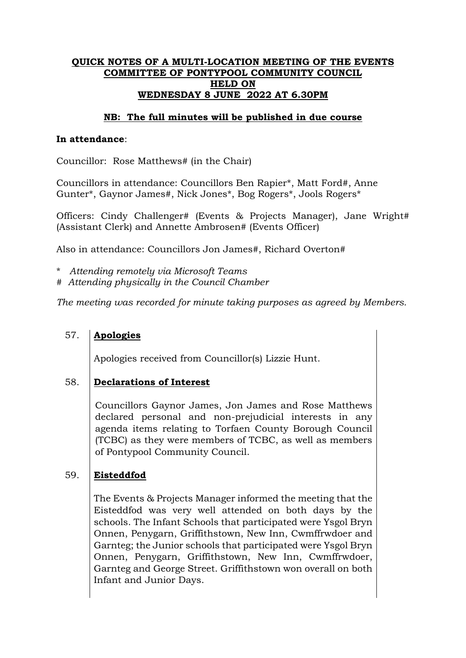## **QUICK NOTES OF A MULTI-LOCATION MEETING OF THE EVENTS COMMITTEE OF PONTYPOOL COMMUNITY COUNCIL HELD ON WEDNESDAY 8 JUNE 2022 AT 6.30PM**

## **NB: The full minutes will be published in due course**

### **In attendance**:

Councillor: Rose Matthews# (in the Chair)

Councillors in attendance: Councillors Ben Rapier\*, Matt Ford#, Anne Gunter\*, Gaynor James#, Nick Jones\*, Bog Rogers\*, Jools Rogers\*

Officers: Cindy Challenger# (Events & Projects Manager), Jane Wright# (Assistant Clerk) and Annette Ambrosen# (Events Officer)

Also in attendance: Councillors Jon James#, Richard Overton#

- \* *Attending remotely via Microsoft Teams*
- # *Attending physically in the Council Chamber*

*The meeting was recorded for minute taking purposes as agreed by Members.*

### 57. **Apologies**

Apologies received from Councillor(s) Lizzie Hunt.

### 58. **Declarations of Interest**

Councillors Gaynor James, Jon James and Rose Matthews declared personal and non-prejudicial interests in any agenda items relating to Torfaen County Borough Council (TCBC) as they were members of TCBC, as well as members of Pontypool Community Council.

### 59. **Eisteddfod**

The Events & Projects Manager informed the meeting that the Eisteddfod was very well attended on both days by the schools. The Infant Schools that participated were Ysgol Bryn Onnen, Penygarn, Griffithstown, New Inn, Cwmffrwdoer and Garnteg; the Junior schools that participated were Ysgol Bryn Onnen, Penygarn, Griffithstown, New Inn, Cwmffrwdoer, Garnteg and George Street. Griffithstown won overall on both Infant and Junior Days.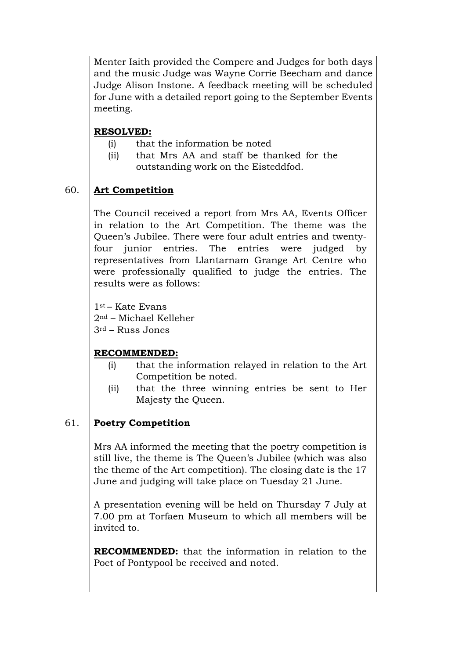Menter Iaith provided the Compere and Judges for both days and the music Judge was Wayne Corrie Beecham and dance Judge Alison Instone. A feedback meeting will be scheduled for June with a detailed report going to the September Events meeting.

# **RESOLVED:**

- (i) that the information be noted
- (ii) that Mrs AA and staff be thanked for the outstanding work on the Eisteddfod.

### 60. **Art Competition**

The Council received a report from Mrs AA, Events Officer in relation to the Art Competition. The theme was the Queen's Jubilee. There were four adult entries and twentyfour junior entries. The entries were judged by representatives from Llantarnam Grange Art Centre who were professionally qualified to judge the entries. The results were as follows:

1st – Kate Evans 2nd – Michael Kelleher

3rd – Russ Jones

# **RECOMMENDED:**

- (i) that the information relayed in relation to the Art Competition be noted.
- (ii) that the three winning entries be sent to Her Majesty the Queen.

### 61. **Poetry Competition**

Mrs AA informed the meeting that the poetry competition is still live, the theme is The Queen's Jubilee (which was also the theme of the Art competition). The closing date is the 17 June and judging will take place on Tuesday 21 June.

A presentation evening will be held on Thursday 7 July at 7.00 pm at Torfaen Museum to which all members will be invited to.

**RECOMMENDED:** that the information in relation to the Poet of Pontypool be received and noted.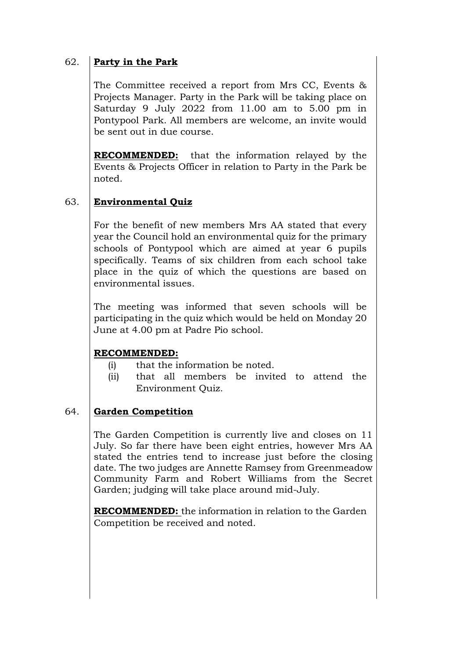### 62. **Party in the Park**

The Committee received a report from Mrs CC, Events & Projects Manager. Party in the Park will be taking place on Saturday 9 July 2022 from 11.00 am to 5.00 pm in Pontypool Park. All members are welcome, an invite would be sent out in due course.

**RECOMMENDED:** that the information relayed by the Events & Projects Officer in relation to Party in the Park be noted.

### 63. **Environmental Quiz**

For the benefit of new members Mrs AA stated that every year the Council hold an environmental quiz for the primary schools of Pontypool which are aimed at year 6 pupils specifically. Teams of six children from each school take place in the quiz of which the questions are based on environmental issues.

The meeting was informed that seven schools will be participating in the quiz which would be held on Monday 20 June at 4.00 pm at Padre Pio school.

# **RECOMMENDED:**

- (i) that the information be noted.
- (ii) that all members be invited to attend the Environment Quiz.

### 64. **Garden Competition**

The Garden Competition is currently live and closes on 11 July. So far there have been eight entries, however Mrs AA stated the entries tend to increase just before the closing date. The two judges are Annette Ramsey from Greenmeadow Community Farm and Robert Williams from the Secret Garden; judging will take place around mid-July.

**RECOMMENDED:** the information in relation to the Garden Competition be received and noted.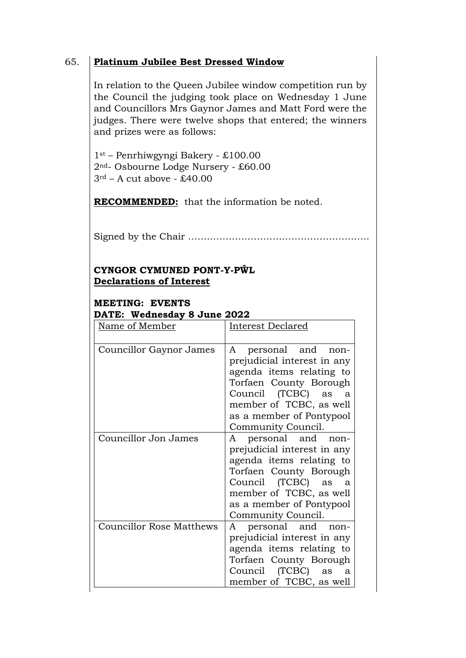# 65. **Platinum Jubilee Best Dressed Window**

In relation to the Queen Jubilee window competition run by the Council the judging took place on Wednesday 1 June and Councillors Mrs Gaynor James and Matt Ford were the judges. There were twelve shops that entered; the winners and prizes were as follows:

1st – Penrhiwgyngi Bakery - £100.00 2nd- Osbourne Lodge Nursery - £60.00  $3<sup>rd</sup>$  – A cut above - £40.00

**RECOMMENDED:** that the information be noted.

Signed by the Chair ………………………………………………….

# **CYNGOR CYMUNED PONT-Y-PŴL Declarations of Interest**

# **MEETING: EVENTS DATE: Wednesday 8 June 2022**

| Name of Member                  | Interest Declared                                                                                                                                                                                                             |
|---------------------------------|-------------------------------------------------------------------------------------------------------------------------------------------------------------------------------------------------------------------------------|
| Councillor Gaynor James         | personal and<br>A<br>non-<br>prejudicial interest in any<br>agenda items relating to<br>Torfaen County Borough<br>Council (TCBC) as<br>a<br>member of TCBC, as well<br>as a member of Pontypool<br>Community Council.         |
| Councillor Jon James            | personal and non-<br>$\mathbf{A}$<br>prejudicial interest in any<br>agenda items relating to<br>Torfaen County Borough<br>Council (TCBC) as<br>a<br>member of TCBC, as well<br>as a member of Pontypool<br>Community Council. |
| <b>Councillor Rose Matthews</b> | personal and<br>A<br>non-<br>prejudicial interest in any<br>agenda items relating to<br>Torfaen County Borough<br>Council (TCBC) as<br>a<br>member of TCBC, as well                                                           |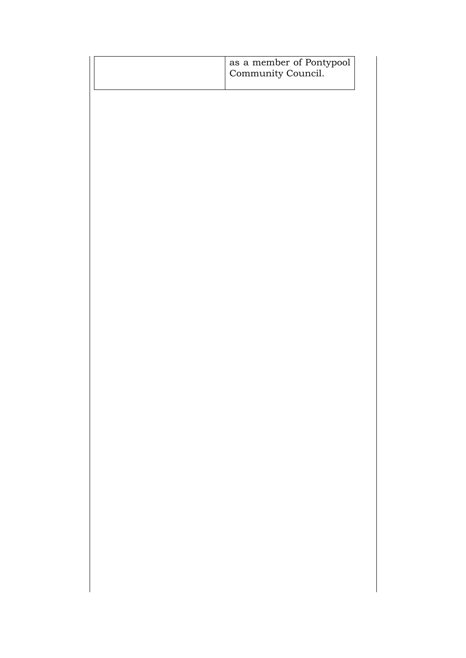|  | as a member of Pontypool<br>Community Council. |
|--|------------------------------------------------|
|  |                                                |
|  |                                                |
|  |                                                |
|  |                                                |
|  |                                                |
|  |                                                |
|  |                                                |
|  |                                                |
|  |                                                |
|  |                                                |
|  |                                                |
|  |                                                |
|  |                                                |
|  |                                                |
|  |                                                |
|  |                                                |
|  |                                                |